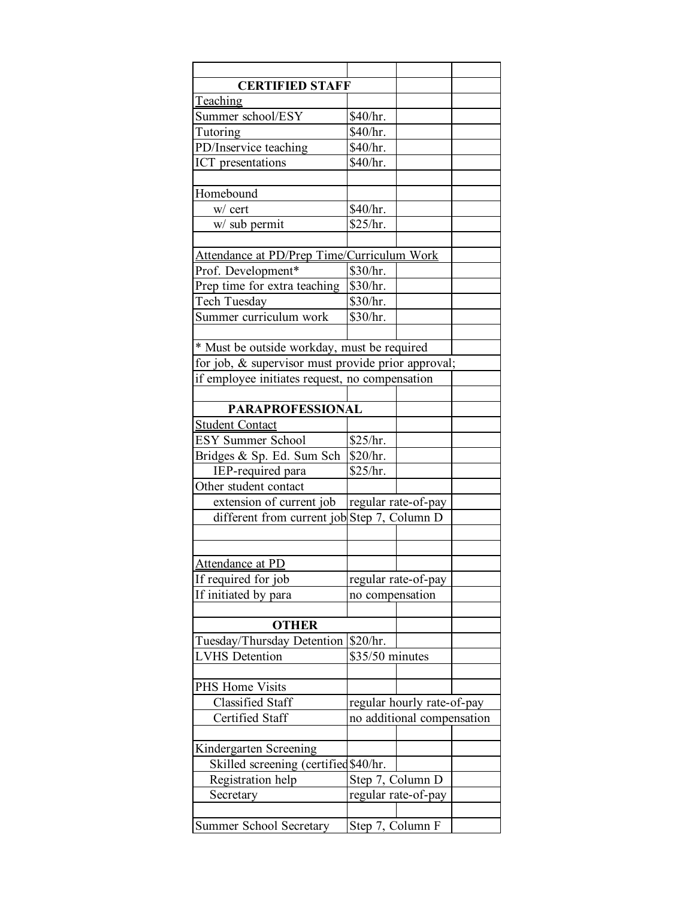| <b>CERTIFIED STAFF</b>                             |                                         |                            |  |  |  |  |  |
|----------------------------------------------------|-----------------------------------------|----------------------------|--|--|--|--|--|
| Teaching                                           |                                         |                            |  |  |  |  |  |
| Summer school/ESY                                  | \$40/hr.                                |                            |  |  |  |  |  |
| Tutoring                                           | \$40/hr.                                |                            |  |  |  |  |  |
| PD/Inservice teaching                              | \$40/hr.                                |                            |  |  |  |  |  |
| ICT presentations                                  | \$40/hr.                                |                            |  |  |  |  |  |
|                                                    |                                         |                            |  |  |  |  |  |
| Homebound                                          |                                         |                            |  |  |  |  |  |
| w/ cert                                            | \$40/hr.                                |                            |  |  |  |  |  |
| w/ sub permit                                      | \$25/hr.                                |                            |  |  |  |  |  |
|                                                    |                                         |                            |  |  |  |  |  |
| Attendance at PD/Prep Time/Curriculum Work         |                                         |                            |  |  |  |  |  |
| Prof. Development*                                 | \$30/hr.                                |                            |  |  |  |  |  |
| Prep time for extra teaching                       | \$30/hr.                                |                            |  |  |  |  |  |
| Tech Tuesday                                       | \$30/hr.                                |                            |  |  |  |  |  |
| Summer curriculum work                             | \$30/hr.                                |                            |  |  |  |  |  |
|                                                    |                                         |                            |  |  |  |  |  |
| * Must be outside workday, must be required        |                                         |                            |  |  |  |  |  |
|                                                    |                                         |                            |  |  |  |  |  |
| for job, & supervisor must provide prior approval; |                                         |                            |  |  |  |  |  |
| if employee initiates request, no compensation     |                                         |                            |  |  |  |  |  |
| <b>PARAPROFESSIONAL</b>                            |                                         |                            |  |  |  |  |  |
| <b>Student Contact</b>                             |                                         |                            |  |  |  |  |  |
| <b>ESY Summer School</b>                           | \$25/hr.                                |                            |  |  |  |  |  |
| Bridges & Sp. Ed. Sum Sch                          | \$20/hr.                                |                            |  |  |  |  |  |
| IEP-required para                                  | \$25/hr.                                |                            |  |  |  |  |  |
| Other student contact                              |                                         |                            |  |  |  |  |  |
| extension of current job                           |                                         |                            |  |  |  |  |  |
|                                                    | regular rate-of-pay                     |                            |  |  |  |  |  |
| different from current job Step 7, Column D        |                                         |                            |  |  |  |  |  |
|                                                    |                                         |                            |  |  |  |  |  |
|                                                    |                                         |                            |  |  |  |  |  |
| <u>Attendance at PD</u>                            |                                         |                            |  |  |  |  |  |
| If required for job                                | regular rate-of-pay                     |                            |  |  |  |  |  |
| If initiated by para                               | no compensation                         |                            |  |  |  |  |  |
|                                                    |                                         |                            |  |  |  |  |  |
| <b>OTHER</b>                                       |                                         |                            |  |  |  |  |  |
| Tuesday/Thursday Detention \$20/hr.                |                                         |                            |  |  |  |  |  |
| <b>LVHS</b> Detention                              | \$35/50 minutes                         |                            |  |  |  |  |  |
|                                                    |                                         |                            |  |  |  |  |  |
| PHS Home Visits                                    |                                         |                            |  |  |  |  |  |
| <b>Classified Staff</b>                            | regular hourly rate-of-pay              |                            |  |  |  |  |  |
| Certified Staff                                    |                                         | no additional compensation |  |  |  |  |  |
| Kindergarten Screening                             |                                         |                            |  |  |  |  |  |
| Skilled screening (certified \$40/hr.              |                                         |                            |  |  |  |  |  |
| Registration help                                  |                                         |                            |  |  |  |  |  |
| Secretary                                          | Step 7, Column D<br>regular rate-of-pay |                            |  |  |  |  |  |
|                                                    |                                         |                            |  |  |  |  |  |
| Summer School Secretary                            | Step 7, Column F                        |                            |  |  |  |  |  |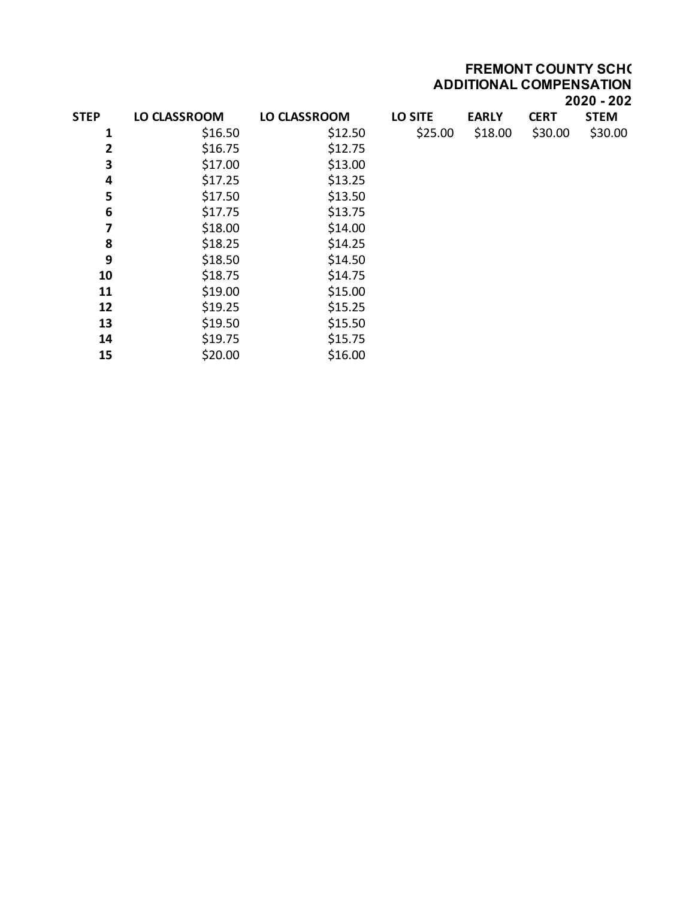**FREMONT COUNTY SCH( ADDITIONAL COMPENSATION 2020 - 2021**

| <b>STEP</b> | <b>LO CLASSROOM</b> | <b>LO CLASSROOM</b> | <b>LO SITE</b> | <b>EARLY</b> | <b>CERT</b> | <b>STEM</b> |
|-------------|---------------------|---------------------|----------------|--------------|-------------|-------------|
| 1           | \$16.50             | \$12.50             | \$25.00        | \$18.00      | \$30.00     | \$30.00     |
| 2           | \$16.75             | \$12.75             |                |              |             |             |
| 3           | \$17.00             | \$13.00             |                |              |             |             |
| 4           | \$17.25             | \$13.25             |                |              |             |             |
| 5           | \$17.50             | \$13.50             |                |              |             |             |
| 6           | \$17.75             | \$13.75             |                |              |             |             |
| 7           | \$18.00             | \$14.00             |                |              |             |             |
| 8           | \$18.25             | \$14.25             |                |              |             |             |
| 9           | \$18.50             | \$14.50             |                |              |             |             |
| 10          | \$18.75             | \$14.75             |                |              |             |             |
| 11          | \$19.00             | \$15.00             |                |              |             |             |
| 12          | \$19.25             | \$15.25             |                |              |             |             |
| 13          | \$19.50             | \$15.50             |                |              |             |             |
| 14          | \$19.75             | \$15.75             |                |              |             |             |
| 15          | \$20.00             | \$16.00             |                |              |             |             |